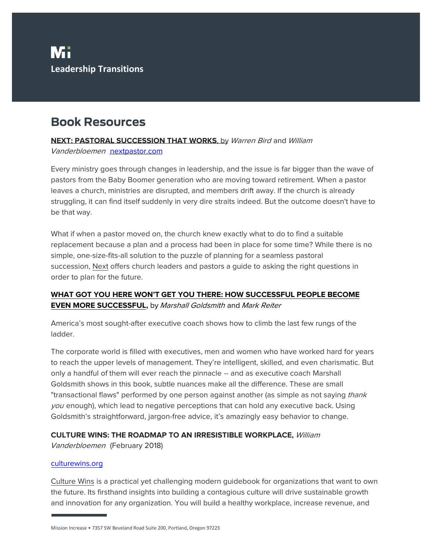## **Book Resources**

### **NEXT: PASTORAL SUCCESSION THAT WORKS**, by Warren Bird and William

Vanderbloemen [nextpastor.com](http://nextpastor.com/)

Every ministry goes through changes in leadership, and the issue is far bigger than the wave of pastors from the Baby Boomer generation who are moving toward retirement. When a pastor leaves a church, ministries are disrupted, and members drift away. If the church is already struggling, it can find itself suddenly in very dire straits indeed. But the outcome doesn't have to be that way.

What if when a pastor moved on, the church knew exactly what to do to find a suitable replacement because a plan and a process had been in place for some time? While there is no simple, one-size-fits-all solution to the puzzle of planning for a seamless pastoral succession, Next offers church leaders and pastors a guide to asking the right questions in order to plan for the future.

## **WHAT GOT YOU HERE WON'T GET YOU THERE: HOW SUCCESSFUL PEOPLE BECOME EVEN MORE SUCCESSFUL,** by Marshall Goldsmith and Mark Reiter

America's most sought-after executive coach shows how to climb the last few rungs of the ladder.

The corporate world is filled with executives, men and women who have worked hard for years to reach the upper levels of management. They're intelligent, skilled, and even charismatic. But only a handful of them will ever reach the pinnacle -- and as executive coach Marshall Goldsmith shows in this book, subtle nuances make all the difference. These are small "transactional flaws" performed by one person against another (as simple as not saying *thank* you enough), which lead to negative perceptions that can hold any executive back. Using Goldsmith's straightforward, jargon-free advice, it's amazingly easy behavior to change.

## **CULTURE WINS: THE ROADMAP TO AN IRRESISTIBLE WORKPLACE,** William

Vanderbloemen (February 2018)

### [culturewins.org](http://culturewins.org/)

Culture Wins is a practical yet challenging modern guidebook for organizations that want to own the future. Its firsthand insights into building a contagious culture will drive sustainable growth and innovation for any organization. You will build a healthy workplace, increase revenue, and

Mission Increase • 7357 SW Beveland Road Suite 200, Portland, Oregon 97223